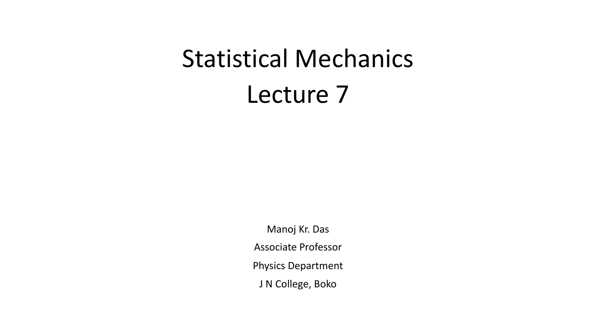# Statistical Mechanics Lecture 7

Manoj Kr. Das Associate Professor Physics Department J N College, Boko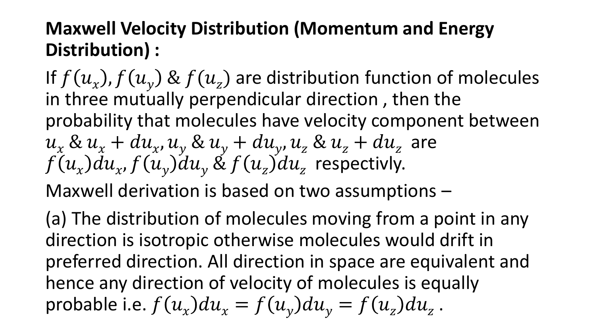## **Maxwell Velocity Distribution (Momentum and Energy Distribution) :**

If  $f(u_x)$ ,  $f(u_y)$  &  $f(u_z)$  are distribution function of molecules in three mutually perpendicular direction, then the probability that molecules have velocity component between  $u_{x}$  &  $u_{x}$  +  $du_{x}$ ,  $u_{y}$  &  $u_{y}$  +  $du_{y}$ ,  $u_{z}$  &  $u_{z}$  +  $du_{z}$  are  $f(u_x)du_x$ ,  $f(u_y)du_y\ \text{&}\ f(u_z)du_z\,$  respectivly.

Maxwell derivation is based on two assumptions –

(a) The distribution of molecules moving from a point in any direction is isotropic otherwise molecules would drift in preferred direction. All direction in space are equivalent and hence any direction of velocity of molecules is equally probable i.e.  $f(u_x)du_x = f(u_y)du_y = f(u_z)du_z$ .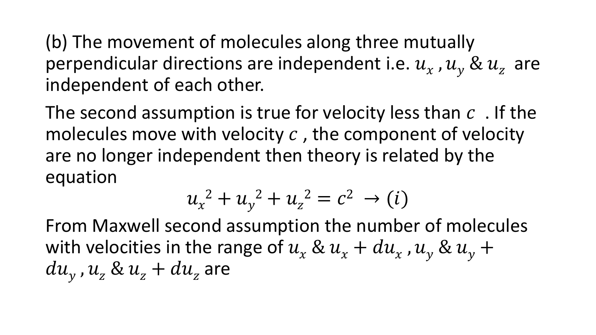(b) The movement of molecules along three mutually perpendicular directions are independent i.e.  $u_x$  ,  $u_y$  &  $u_z$  are independent of each other.

The second assumption is true for velocity less than  $c$ . If the molecules move with velocity  $c$ , the component of velocity are no longer independent then theory is related by the equation

$$
u_x^2 + u_y^2 + u_z^2 = c^2 \to (i)
$$

From Maxwell second assumption the number of molecules with velocities in the range of  $u_x \& u_x + du_x$  ,  $u_y \& u_y +$  $du_y$  ,  $u_z$  &  $u_z$  +  $du_z$  are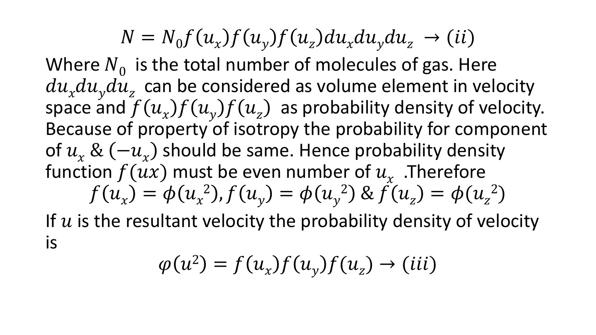$$
N = N_0 f(u_x) f(u_y) f(u_z) du_x du_y du_z \rightarrow (ii)
$$

Where  $N_0$  is the total number of molecules of gas. Here  $du_x du_y du_z$  can be considered as volume element in velocity space and  $f(u_x)f(u_y)f(u_z)$  as probability density of velocity. Because of property of isotropy the probability for component of  $u_x$  &  $(-u_x)$  should be same. Hence probability density function  $f(ux)$  must be even number of  $u_x^{\phantom{\dag}}$  .Therefore  $f(u_x) = \phi(u_x^2)$ ,  $f(u_y) = \phi(u_y^2)$  &  $f(u_z) = \phi(u_z^2)$ If  $u$  is the resultant velocity the probability density of velocity

is

$$
\varphi(u^2) = f(u_x)f(u_y)f(u_z) \to (iii)
$$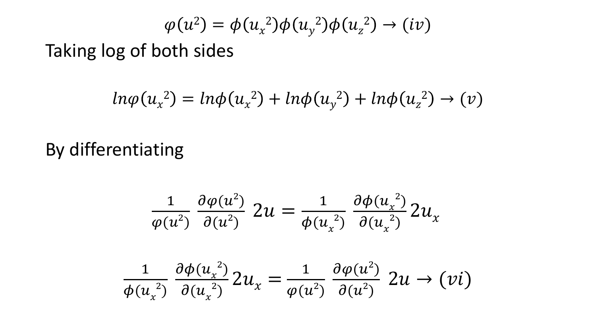$$
\varphi(u^2) = \phi(u_x^2)\phi(u_y^2)\phi(u_z^2) \rightarrow (iv)
$$

Taking log of both sides

$$
ln\varphi(u_x^2) = ln\varphi(u_x^2) + ln\varphi(u_y^2) + ln\varphi(u_z^2) \to (v)
$$

By differentiating

$$
\frac{1}{\varphi(u^2)} \frac{\partial \varphi(u^2)}{\partial(u^2)} 2u = \frac{1}{\varphi(u_x^2)} \frac{\partial \varphi(u_x^2)}{\partial(u_x^2)} 2u_x
$$
  

$$
\frac{1}{\varphi(u_x^2)} \frac{\partial \varphi(u_x^2)}{\partial(u_x^2)} 2u_x = \frac{1}{\varphi(u^2)} \frac{\partial \varphi(u^2)}{\partial(u^2)} 2u \to (vi)
$$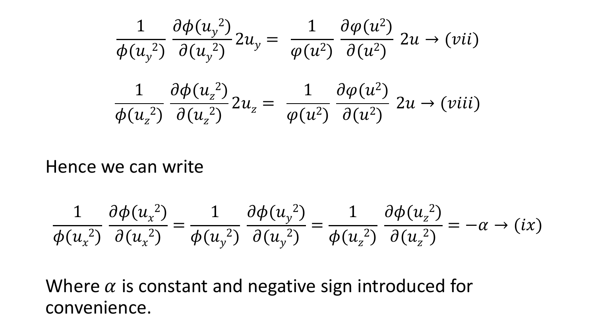$$
\frac{1}{\phi(u_y^2)} \frac{\partial \phi(u_y^2)}{\partial(u_y^2)} 2u_y = \frac{1}{\phi(u^2)} \frac{\partial \phi(u^2)}{\partial(u^2)} 2u \to (vii)
$$
  

$$
\frac{1}{\phi(u_z^2)} \frac{\partial \phi(u_z^2)}{\partial(u_z^2)} 2u_z = \frac{1}{\phi(u^2)} \frac{\partial \phi(u^2)}{\partial(u^2)} 2u \to (viii)
$$

#### Hence we can write

$$
\frac{1}{\phi(u_x^2)}\frac{\partial \phi(u_x^2)}{\partial(u_x^2)} = \frac{1}{\phi(u_y^2)}\frac{\partial \phi(u_y^2)}{\partial(u_y^2)} = \frac{1}{\phi(u_z^2)}\frac{\partial \phi(u_z^2)}{\partial(u_z^2)} = -\alpha \to (ix)
$$

Where  $\alpha$  is constant and negative sign introduced for convenience.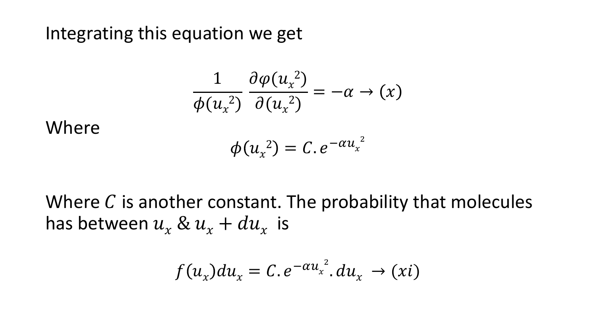#### Integrating this equation we get

$$
\frac{1}{\phi(u_x^2)}\frac{\partial \varphi(u_x^2)}{\partial(u_x^2)} = -\alpha \to (x)
$$

Where

$$
\phi(u_x^2)=C.e^{-\alpha u_x^2}
$$

Where  $C$  is another constant. The probability that molecules has between  $u_x \& u_x + du_x$  is

$$
f(u_x)du_x = C \tcdot e^{-\alpha u_x^2} du_x \to (xi)
$$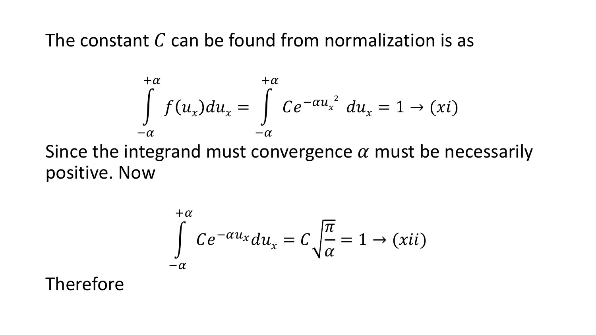### The constant  $C$  can be found from normalization is as

$$
\int_{-\alpha}^{+\alpha} f(u_x) du_x = \int_{-\alpha}^{+\alpha} C e^{-\alpha u_x^2} du_x = 1 \rightarrow (xi)
$$

Since the integrand must convergence  $\alpha$  must be necessarily positive. Now

$$
\int_{-\alpha}^{+\alpha} Ce^{-\alpha u_x} du_x = C \sqrt{\frac{\pi}{\alpha}} = 1 \to (xii)
$$

Therefore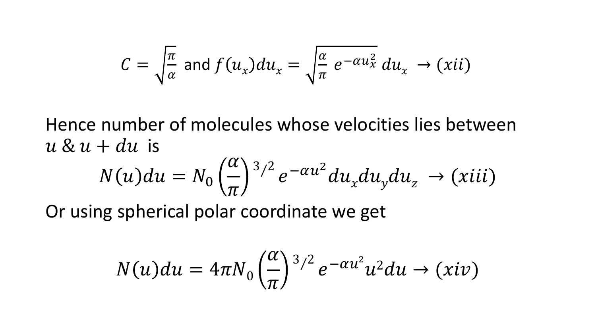$$
C = \sqrt{\frac{\pi}{\alpha}} \text{ and } f(u_x) du_x = \sqrt{\frac{\alpha}{\pi}} e^{-\alpha u_x^2} du_x \to (xii)
$$

Hence number of molecules whose velocities lies between  $u \& u + du$  is

$$
N(u)du = N_0 \left(\frac{\alpha}{\pi}\right)^{3/2} e^{-\alpha u^2} du_x du_y du_z \rightarrow (xiii)
$$

Or using spherical polar coordinate we get

$$
N(u)du = 4\pi N_0 \left(\frac{\alpha}{\pi}\right)^{3/2} e^{-\alpha u^2} u^2 du \to (xiv)
$$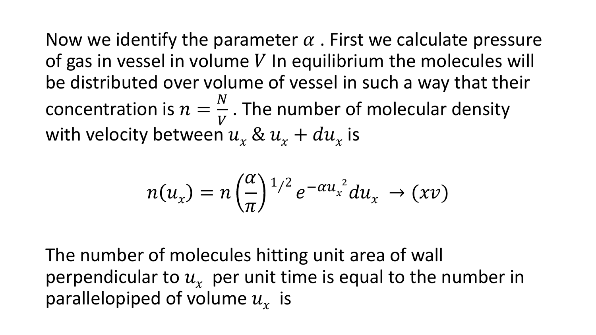Now we identify the parameter  $\alpha$ . First we calculate pressure of gas in vessel in volume  $V$  In equilibrium the molecules will be distributed over volume of vessel in such a way that their concentration is  $n =$  $\boldsymbol{N}$  $\boldsymbol{V}$ . The number of molecular density with velocity between  $u_x \& u_x + du_x$  is

$$
n(u_x) = n\left(\frac{\alpha}{\pi}\right)^{1/2}e^{-\alpha u_x^2} du_x \to (xv)
$$

The number of molecules hitting unit area of wall perpendicular to  $u<sub>x</sub>$  per unit time is equal to the number in parallelopiped of volume  $u_x$  is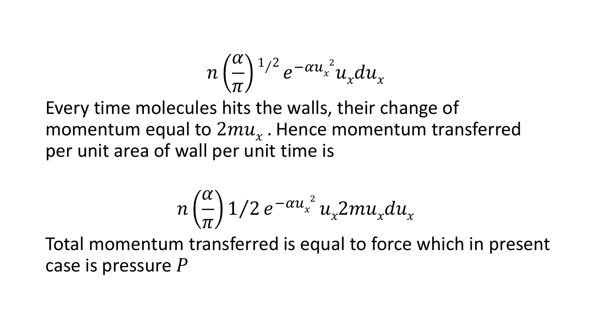$$
n\left(\frac{\alpha}{\pi}\right)^{1/2}e^{-\alpha u_{x}^{2}}u_{x}du_{x}
$$

Every time molecules hits the walls, their change of momentum equal to  $2mu_x$  . Hence momentum transferred per unit area of wall per unit time is

$$
n\left(\frac{\alpha}{\pi}\right)1/2\,e^{-\alpha u_x^2}\,u_x^2\,mu_x^2du_x
$$

Total momentum transferred is equal to force which in present case is pressure  $P$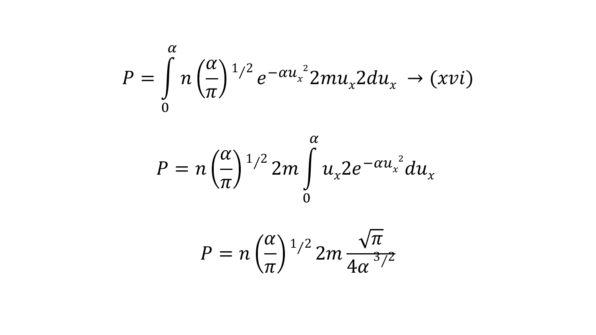$$
P = \int_{0}^{\alpha} n \left(\frac{\alpha}{\pi}\right)^{1/2} e^{-\alpha u_x^2} 2m u_x 2 du_x \rightarrow (xvi)
$$

$$
P = n \left(\frac{\alpha}{\pi}\right)^{1/2} 2m \int\limits_{0}^{\alpha} u_x 2e^{-\alpha u_x^2} du_x
$$

$$
P = n \left(\frac{\alpha}{\pi}\right)^{1/2} 2m \frac{\sqrt{\pi}}{4\alpha^{3/2}}
$$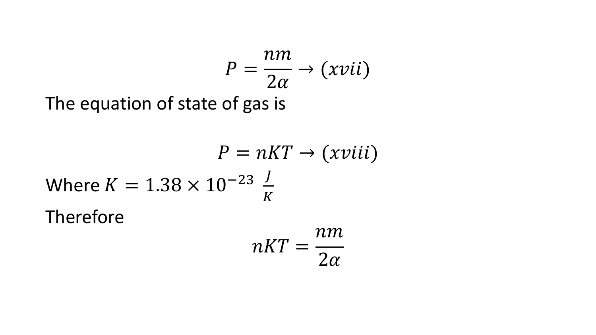$$
P = \frac{nm}{2\alpha} \rightarrow (xvii)
$$

 $2\alpha$ 

The equation of state of gas is

$$
P = nKT \rightarrow (xviii)
$$
  
Where K = 1.38 × 10<sup>-23</sup>  $\frac{J}{K}$   
Therefore 
$$
nKT = \frac{nm}{2\pi}
$$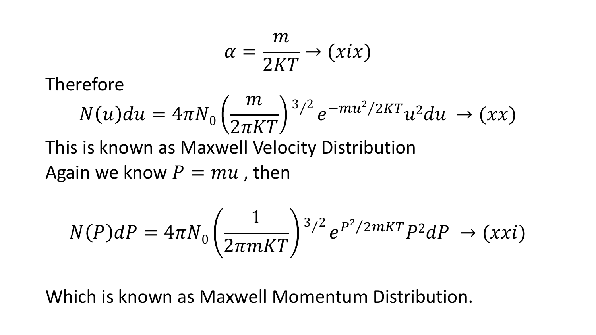$$
\alpha = \frac{m}{2KT} \to (xix)
$$

Therefore

$$
N(u)du = 4\pi N_0 \left(\frac{m}{2\pi KT}\right)^{3/2} e^{-mu^2/2KT} u^2 du \to (xx)
$$

This is known as Maxwell Velocity Distribution

Again we know  $P = mu$ , then

$$
N(P)dP = 4\pi N_0 \left(\frac{1}{2\pi mKT}\right)^{3/2} e^{P^2/2mKT} P^2dP \rightarrow (xxi)
$$

Which is known as Maxwell Momentum Distribution.